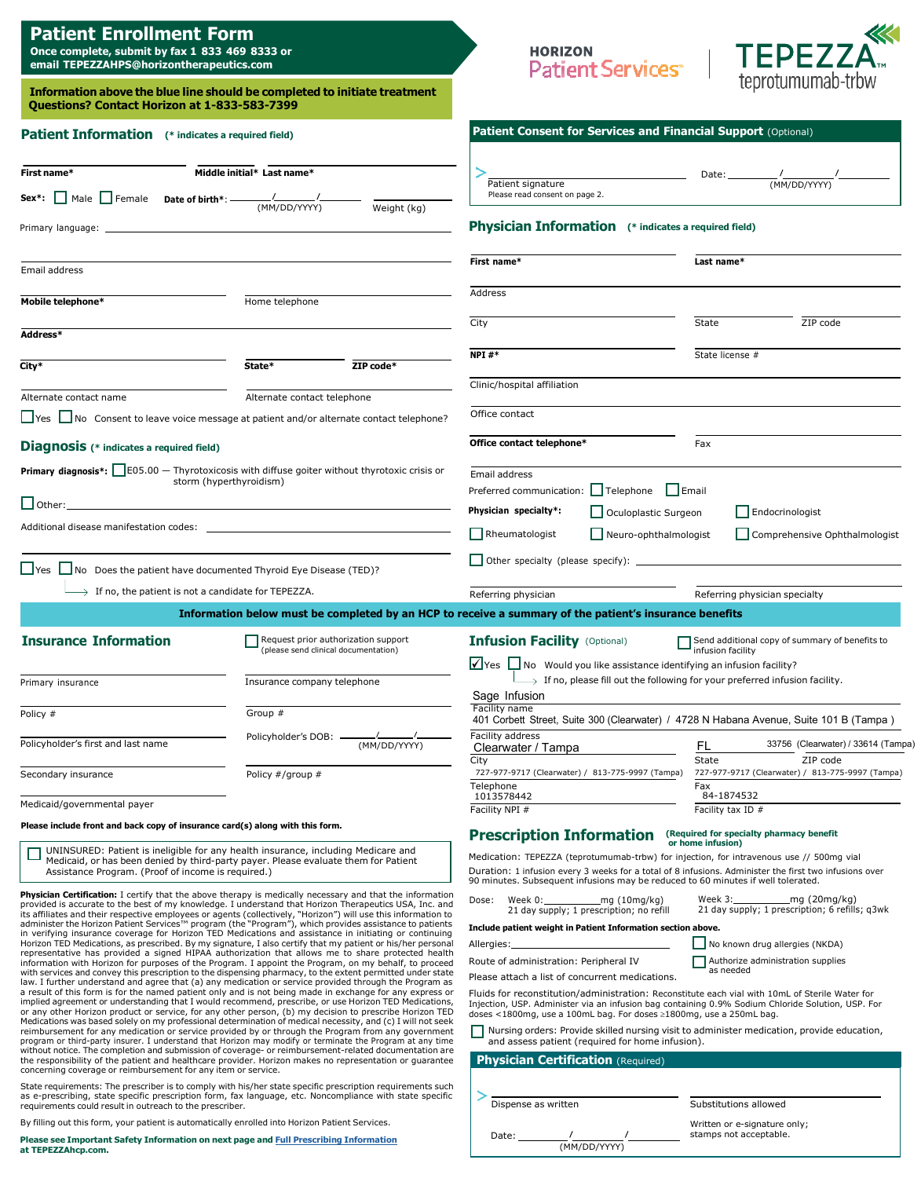| <b>Patient Enrollment Form</b> |  |  |
|--------------------------------|--|--|
|--------------------------------|--|--|

**Once complete, submit by fax 1-833-469-8333 or email [TEPEZZAHPS@horizontherapeutics.com](mailto:TEPEZZAHPS@horizontherapeutics.com)**

**Please see Important Safety Information on next page and Full Prescribing [Information](http://hzndocs.com/TEPEZZA-Prescribing-Information.pdf) at TEPEZZAhcp.com.**

(MM/DD/YYYY)



| <b>Ouestions? Contact Horizon at 1-833-583-7399</b>                                                                                                                                                                                                                                                                                                                                                                                                                                                                                                                                                                                                                                                                                                                                                                                                                                                                                                                                                                                                                                                                                                                                                                                                                                                                                                                                                                                                                                                                                                                                                                                                                                                                                                                                                                                                                                                                                                                                                                                                                                                                                                                                                                                                                                                      | Information above the blue line should be completed to initiate treatment                                                               |                                                                                                                                                                                                                                                                                                                                                                                                                                                                                                                                                                                                                                                                                 | teprotumumab-trow                                                                                                                                                                                                                                                                                             |
|----------------------------------------------------------------------------------------------------------------------------------------------------------------------------------------------------------------------------------------------------------------------------------------------------------------------------------------------------------------------------------------------------------------------------------------------------------------------------------------------------------------------------------------------------------------------------------------------------------------------------------------------------------------------------------------------------------------------------------------------------------------------------------------------------------------------------------------------------------------------------------------------------------------------------------------------------------------------------------------------------------------------------------------------------------------------------------------------------------------------------------------------------------------------------------------------------------------------------------------------------------------------------------------------------------------------------------------------------------------------------------------------------------------------------------------------------------------------------------------------------------------------------------------------------------------------------------------------------------------------------------------------------------------------------------------------------------------------------------------------------------------------------------------------------------------------------------------------------------------------------------------------------------------------------------------------------------------------------------------------------------------------------------------------------------------------------------------------------------------------------------------------------------------------------------------------------------------------------------------------------------------------------------------------------------|-----------------------------------------------------------------------------------------------------------------------------------------|---------------------------------------------------------------------------------------------------------------------------------------------------------------------------------------------------------------------------------------------------------------------------------------------------------------------------------------------------------------------------------------------------------------------------------------------------------------------------------------------------------------------------------------------------------------------------------------------------------------------------------------------------------------------------------|---------------------------------------------------------------------------------------------------------------------------------------------------------------------------------------------------------------------------------------------------------------------------------------------------------------|
| <b>Patient Information</b> (* indicates a required field)                                                                                                                                                                                                                                                                                                                                                                                                                                                                                                                                                                                                                                                                                                                                                                                                                                                                                                                                                                                                                                                                                                                                                                                                                                                                                                                                                                                                                                                                                                                                                                                                                                                                                                                                                                                                                                                                                                                                                                                                                                                                                                                                                                                                                                                |                                                                                                                                         | Patient Consent for Services and Financial Support (Optional)                                                                                                                                                                                                                                                                                                                                                                                                                                                                                                                                                                                                                   |                                                                                                                                                                                                                                                                                                               |
| First name*                                                                                                                                                                                                                                                                                                                                                                                                                                                                                                                                                                                                                                                                                                                                                                                                                                                                                                                                                                                                                                                                                                                                                                                                                                                                                                                                                                                                                                                                                                                                                                                                                                                                                                                                                                                                                                                                                                                                                                                                                                                                                                                                                                                                                                                                                              | Middle initial* Last name*                                                                                                              | Patient signature                                                                                                                                                                                                                                                                                                                                                                                                                                                                                                                                                                                                                                                               | Date:<br>$\frac{1}{(MM/DD/YYYY)}$                                                                                                                                                                                                                                                                             |
| Sex*: Male Female Date of birth*: —                                                                                                                                                                                                                                                                                                                                                                                                                                                                                                                                                                                                                                                                                                                                                                                                                                                                                                                                                                                                                                                                                                                                                                                                                                                                                                                                                                                                                                                                                                                                                                                                                                                                                                                                                                                                                                                                                                                                                                                                                                                                                                                                                                                                                                                                      | $\frac{1}{(MM/DD/YYYY)}$<br>Weight (kg)                                                                                                 | Please read consent on page 2.                                                                                                                                                                                                                                                                                                                                                                                                                                                                                                                                                                                                                                                  |                                                                                                                                                                                                                                                                                                               |
| Primary language:                                                                                                                                                                                                                                                                                                                                                                                                                                                                                                                                                                                                                                                                                                                                                                                                                                                                                                                                                                                                                                                                                                                                                                                                                                                                                                                                                                                                                                                                                                                                                                                                                                                                                                                                                                                                                                                                                                                                                                                                                                                                                                                                                                                                                                                                                        |                                                                                                                                         | <b>Physician Information</b> (* indicates a required field)                                                                                                                                                                                                                                                                                                                                                                                                                                                                                                                                                                                                                     |                                                                                                                                                                                                                                                                                                               |
| Email address                                                                                                                                                                                                                                                                                                                                                                                                                                                                                                                                                                                                                                                                                                                                                                                                                                                                                                                                                                                                                                                                                                                                                                                                                                                                                                                                                                                                                                                                                                                                                                                                                                                                                                                                                                                                                                                                                                                                                                                                                                                                                                                                                                                                                                                                                            |                                                                                                                                         | First name*                                                                                                                                                                                                                                                                                                                                                                                                                                                                                                                                                                                                                                                                     | Last name*                                                                                                                                                                                                                                                                                                    |
| Mobile telephone*                                                                                                                                                                                                                                                                                                                                                                                                                                                                                                                                                                                                                                                                                                                                                                                                                                                                                                                                                                                                                                                                                                                                                                                                                                                                                                                                                                                                                                                                                                                                                                                                                                                                                                                                                                                                                                                                                                                                                                                                                                                                                                                                                                                                                                                                                        | Home telephone                                                                                                                          | Address                                                                                                                                                                                                                                                                                                                                                                                                                                                                                                                                                                                                                                                                         |                                                                                                                                                                                                                                                                                                               |
| Address*                                                                                                                                                                                                                                                                                                                                                                                                                                                                                                                                                                                                                                                                                                                                                                                                                                                                                                                                                                                                                                                                                                                                                                                                                                                                                                                                                                                                                                                                                                                                                                                                                                                                                                                                                                                                                                                                                                                                                                                                                                                                                                                                                                                                                                                                                                 |                                                                                                                                         | City                                                                                                                                                                                                                                                                                                                                                                                                                                                                                                                                                                                                                                                                            | ZIP code<br>State                                                                                                                                                                                                                                                                                             |
| City*                                                                                                                                                                                                                                                                                                                                                                                                                                                                                                                                                                                                                                                                                                                                                                                                                                                                                                                                                                                                                                                                                                                                                                                                                                                                                                                                                                                                                                                                                                                                                                                                                                                                                                                                                                                                                                                                                                                                                                                                                                                                                                                                                                                                                                                                                                    | ZIP code*<br>State*                                                                                                                     | NPI $#*$                                                                                                                                                                                                                                                                                                                                                                                                                                                                                                                                                                                                                                                                        | State license #                                                                                                                                                                                                                                                                                               |
|                                                                                                                                                                                                                                                                                                                                                                                                                                                                                                                                                                                                                                                                                                                                                                                                                                                                                                                                                                                                                                                                                                                                                                                                                                                                                                                                                                                                                                                                                                                                                                                                                                                                                                                                                                                                                                                                                                                                                                                                                                                                                                                                                                                                                                                                                                          |                                                                                                                                         | Clinic/hospital affiliation                                                                                                                                                                                                                                                                                                                                                                                                                                                                                                                                                                                                                                                     |                                                                                                                                                                                                                                                                                                               |
| Alternate contact name                                                                                                                                                                                                                                                                                                                                                                                                                                                                                                                                                                                                                                                                                                                                                                                                                                                                                                                                                                                                                                                                                                                                                                                                                                                                                                                                                                                                                                                                                                                                                                                                                                                                                                                                                                                                                                                                                                                                                                                                                                                                                                                                                                                                                                                                                   | Alternate contact telephone                                                                                                             |                                                                                                                                                                                                                                                                                                                                                                                                                                                                                                                                                                                                                                                                                 |                                                                                                                                                                                                                                                                                                               |
|                                                                                                                                                                                                                                                                                                                                                                                                                                                                                                                                                                                                                                                                                                                                                                                                                                                                                                                                                                                                                                                                                                                                                                                                                                                                                                                                                                                                                                                                                                                                                                                                                                                                                                                                                                                                                                                                                                                                                                                                                                                                                                                                                                                                                                                                                                          | □ Yes □ No Consent to leave voice message at patient and/or alternate contact telephone?                                                | Office contact                                                                                                                                                                                                                                                                                                                                                                                                                                                                                                                                                                                                                                                                  |                                                                                                                                                                                                                                                                                                               |
| <b>Diagnosis</b> (* indicates a required field)                                                                                                                                                                                                                                                                                                                                                                                                                                                                                                                                                                                                                                                                                                                                                                                                                                                                                                                                                                                                                                                                                                                                                                                                                                                                                                                                                                                                                                                                                                                                                                                                                                                                                                                                                                                                                                                                                                                                                                                                                                                                                                                                                                                                                                                          |                                                                                                                                         | Office contact telephone*                                                                                                                                                                                                                                                                                                                                                                                                                                                                                                                                                                                                                                                       | Fax                                                                                                                                                                                                                                                                                                           |
|                                                                                                                                                                                                                                                                                                                                                                                                                                                                                                                                                                                                                                                                                                                                                                                                                                                                                                                                                                                                                                                                                                                                                                                                                                                                                                                                                                                                                                                                                                                                                                                                                                                                                                                                                                                                                                                                                                                                                                                                                                                                                                                                                                                                                                                                                                          | <b>Primary diagnosis*:</b> $\Box$ E05.00 $-$ Thyrotoxicosis with diffuse goiter without thyrotoxic crisis or<br>storm (hyperthyroidism) | Email address                                                                                                                                                                                                                                                                                                                                                                                                                                                                                                                                                                                                                                                                   |                                                                                                                                                                                                                                                                                                               |
|                                                                                                                                                                                                                                                                                                                                                                                                                                                                                                                                                                                                                                                                                                                                                                                                                                                                                                                                                                                                                                                                                                                                                                                                                                                                                                                                                                                                                                                                                                                                                                                                                                                                                                                                                                                                                                                                                                                                                                                                                                                                                                                                                                                                                                                                                                          |                                                                                                                                         | Preferred communication: Felephone Fernail                                                                                                                                                                                                                                                                                                                                                                                                                                                                                                                                                                                                                                      |                                                                                                                                                                                                                                                                                                               |
|                                                                                                                                                                                                                                                                                                                                                                                                                                                                                                                                                                                                                                                                                                                                                                                                                                                                                                                                                                                                                                                                                                                                                                                                                                                                                                                                                                                                                                                                                                                                                                                                                                                                                                                                                                                                                                                                                                                                                                                                                                                                                                                                                                                                                                                                                                          |                                                                                                                                         | Physician specialty*:<br>Oculoplastic Surgeon                                                                                                                                                                                                                                                                                                                                                                                                                                                                                                                                                                                                                                   | $\Box$ Endocrinologist                                                                                                                                                                                                                                                                                        |
|                                                                                                                                                                                                                                                                                                                                                                                                                                                                                                                                                                                                                                                                                                                                                                                                                                                                                                                                                                                                                                                                                                                                                                                                                                                                                                                                                                                                                                                                                                                                                                                                                                                                                                                                                                                                                                                                                                                                                                                                                                                                                                                                                                                                                                                                                                          |                                                                                                                                         | Rheumatologist<br>$\Box$ Neuro-ophthalmologist                                                                                                                                                                                                                                                                                                                                                                                                                                                                                                                                                                                                                                  | Comprehensive Ophthalmologist                                                                                                                                                                                                                                                                                 |
| $\Box$ Yes $\Box$ No Does the patient have documented Thyroid Eye Disease (TED)?                                                                                                                                                                                                                                                                                                                                                                                                                                                                                                                                                                                                                                                                                                                                                                                                                                                                                                                                                                                                                                                                                                                                                                                                                                                                                                                                                                                                                                                                                                                                                                                                                                                                                                                                                                                                                                                                                                                                                                                                                                                                                                                                                                                                                         |                                                                                                                                         |                                                                                                                                                                                                                                                                                                                                                                                                                                                                                                                                                                                                                                                                                 |                                                                                                                                                                                                                                                                                                               |
| $\rightarrow$ If no, the patient is not a candidate for TEPEZZA.                                                                                                                                                                                                                                                                                                                                                                                                                                                                                                                                                                                                                                                                                                                                                                                                                                                                                                                                                                                                                                                                                                                                                                                                                                                                                                                                                                                                                                                                                                                                                                                                                                                                                                                                                                                                                                                                                                                                                                                                                                                                                                                                                                                                                                         |                                                                                                                                         | Referring physician                                                                                                                                                                                                                                                                                                                                                                                                                                                                                                                                                                                                                                                             | Referring physician specialty                                                                                                                                                                                                                                                                                 |
|                                                                                                                                                                                                                                                                                                                                                                                                                                                                                                                                                                                                                                                                                                                                                                                                                                                                                                                                                                                                                                                                                                                                                                                                                                                                                                                                                                                                                                                                                                                                                                                                                                                                                                                                                                                                                                                                                                                                                                                                                                                                                                                                                                                                                                                                                                          | Information below must be completed by an HCP to receive a summary of the patient's insurance benefits                                  |                                                                                                                                                                                                                                                                                                                                                                                                                                                                                                                                                                                                                                                                                 |                                                                                                                                                                                                                                                                                                               |
| <b>Insurance Information</b>                                                                                                                                                                                                                                                                                                                                                                                                                                                                                                                                                                                                                                                                                                                                                                                                                                                                                                                                                                                                                                                                                                                                                                                                                                                                                                                                                                                                                                                                                                                                                                                                                                                                                                                                                                                                                                                                                                                                                                                                                                                                                                                                                                                                                                                                             |                                                                                                                                         |                                                                                                                                                                                                                                                                                                                                                                                                                                                                                                                                                                                                                                                                                 | Send additional copy of summary of benefits to                                                                                                                                                                                                                                                                |
|                                                                                                                                                                                                                                                                                                                                                                                                                                                                                                                                                                                                                                                                                                                                                                                                                                                                                                                                                                                                                                                                                                                                                                                                                                                                                                                                                                                                                                                                                                                                                                                                                                                                                                                                                                                                                                                                                                                                                                                                                                                                                                                                                                                                                                                                                                          | Request prior authorization support<br>(please send clinical documentation)                                                             | <b>Infusion Facility (Optional)</b>                                                                                                                                                                                                                                                                                                                                                                                                                                                                                                                                                                                                                                             | infusion facility                                                                                                                                                                                                                                                                                             |
| Primary insurance                                                                                                                                                                                                                                                                                                                                                                                                                                                                                                                                                                                                                                                                                                                                                                                                                                                                                                                                                                                                                                                                                                                                                                                                                                                                                                                                                                                                                                                                                                                                                                                                                                                                                                                                                                                                                                                                                                                                                                                                                                                                                                                                                                                                                                                                                        | Insurance company telephone                                                                                                             | √ Yes │ No Would you like assistance identifying an infusion facility?<br>Sage Infusion                                                                                                                                                                                                                                                                                                                                                                                                                                                                                                                                                                                         | $\rightarrow$ If no, please fill out the following for your preferred infusion facility.                                                                                                                                                                                                                      |
| Policy #                                                                                                                                                                                                                                                                                                                                                                                                                                                                                                                                                                                                                                                                                                                                                                                                                                                                                                                                                                                                                                                                                                                                                                                                                                                                                                                                                                                                                                                                                                                                                                                                                                                                                                                                                                                                                                                                                                                                                                                                                                                                                                                                                                                                                                                                                                 | Group #                                                                                                                                 | Facility name                                                                                                                                                                                                                                                                                                                                                                                                                                                                                                                                                                                                                                                                   | 401 Corbett Street, Suite 300 (Clearwater) / 4728 N Habana Avenue, Suite 101 B (Tampa)                                                                                                                                                                                                                        |
| Policyholder's first and last name                                                                                                                                                                                                                                                                                                                                                                                                                                                                                                                                                                                                                                                                                                                                                                                                                                                                                                                                                                                                                                                                                                                                                                                                                                                                                                                                                                                                                                                                                                                                                                                                                                                                                                                                                                                                                                                                                                                                                                                                                                                                                                                                                                                                                                                                       | Policyholder's DOB: -<br>(MM/DD/YYYY)                                                                                                   | Facility address<br>Clearwater / Tampa                                                                                                                                                                                                                                                                                                                                                                                                                                                                                                                                                                                                                                          | 33756 (Clearwater) / 33614 (Tampa)<br>FL                                                                                                                                                                                                                                                                      |
| Secondary insurance                                                                                                                                                                                                                                                                                                                                                                                                                                                                                                                                                                                                                                                                                                                                                                                                                                                                                                                                                                                                                                                                                                                                                                                                                                                                                                                                                                                                                                                                                                                                                                                                                                                                                                                                                                                                                                                                                                                                                                                                                                                                                                                                                                                                                                                                                      | Policy #/group #                                                                                                                        | City<br>727-977-9717 (Clearwater) / 813-775-9997 (Tampa)                                                                                                                                                                                                                                                                                                                                                                                                                                                                                                                                                                                                                        | ZIP code<br>State<br>727-977-9717 (Clearwater) / 813-775-9997 (Tampa)                                                                                                                                                                                                                                         |
|                                                                                                                                                                                                                                                                                                                                                                                                                                                                                                                                                                                                                                                                                                                                                                                                                                                                                                                                                                                                                                                                                                                                                                                                                                                                                                                                                                                                                                                                                                                                                                                                                                                                                                                                                                                                                                                                                                                                                                                                                                                                                                                                                                                                                                                                                                          |                                                                                                                                         | Telephone<br>1013578442                                                                                                                                                                                                                                                                                                                                                                                                                                                                                                                                                                                                                                                         | Fax<br>84-1874532                                                                                                                                                                                                                                                                                             |
| Medicaid/governmental payer<br>Please include front and back copy of insurance card(s) along with this form.                                                                                                                                                                                                                                                                                                                                                                                                                                                                                                                                                                                                                                                                                                                                                                                                                                                                                                                                                                                                                                                                                                                                                                                                                                                                                                                                                                                                                                                                                                                                                                                                                                                                                                                                                                                                                                                                                                                                                                                                                                                                                                                                                                                             |                                                                                                                                         | Facility NPI #                                                                                                                                                                                                                                                                                                                                                                                                                                                                                                                                                                                                                                                                  | Facility tax ID #                                                                                                                                                                                                                                                                                             |
| UNINSURED: Patient is ineligible for any health insurance, including Medicare and<br>Medicaid, or has been denied by third-party payer. Please evaluate them for Patient<br>Assistance Program. (Proof of income is required.)<br>Physician Certification: I certify that the above therapy is medically necessary and that the information<br>provided is accurate to the best of my knowledge. I understand that Horizon Therapeutics USA, Inc. and<br>its affiliates and their respective employees or agents (collectively, "Horizon") will use this information to<br>administer the Horizon Patient Services™ program (the "Program"), which provides assistance to patients<br>in verifying insurance coverage for Horizon TED Medications and assistance in initiating or continuing<br>Horizon TED Medications, as prescribed. By my signature, I also certify that my patient or his/her personal<br>representative has provided a signed HIPAA authorization that allows me to share protected health<br>information with Horizon for purposes of the Program. I appoint the Program, on my behalf, to proceed<br>with services and convey this prescription to the dispensing pharmacy, to the extent permitted under state<br>law. I further understand and agree that (a) any medication or service provided through the Program as<br>a result of this form is for the named patient only and is not being made in exchange for any express or<br>implied agreement or understanding that I would recommend, prescribe, or use Horizon TED Medications,<br>or any other Horizon product or service, for any other person, (b) my decision to prescribe Horizon TED<br>Medications was based solely on my professional determination of medical necessity, and (c) I will not seek<br>reimbursement for any medication or service provided by or through the Program from any government<br>program or third-party insurer. I understand that Horizon may modify or terminate the Program at any time<br>without notice. The completion and submission of coverage- or reimbursement-related documentation are<br>the responsibility of the patient and healthcare provider. Horizon makes no representation or guarantee<br>concerning coverage or reimbursement for any item or service. |                                                                                                                                         | <b>Prescription Information</b><br>Medication: TEPEZZA (teprotumumab-trbw) for injection, for intravenous use // 500mg vial<br>90 minutes. Subsequent infusions may be reduced to 60 minutes if well tolerated.<br>Week 0: mg (10mg/kg)<br>Dose:<br>21 day supply; 1 prescription; no refill<br>Include patient weight in Patient Information section above.<br>Allergies:<br>Route of administration: Peripheral IV<br>Please attach a list of concurrent medications.<br>Fluids for reconstitution/administration: Reconstitute each vial with 10mL of Sterile Water for<br>Injection, USP. Administer via an infusion bag containing 0.9% Sodium Chloride Solution, USP. For | (Required for specialty pharmacy benefit<br>or home infusion)<br>Duration: 1 infusion every 3 weeks for a total of 8 infusions. Administer the first two infusions over<br>21 day supply; 1 prescription; 6 refills; q3wk<br>No known drug allergies (NKDA)<br>Authorize administration supplies<br>as needed |
|                                                                                                                                                                                                                                                                                                                                                                                                                                                                                                                                                                                                                                                                                                                                                                                                                                                                                                                                                                                                                                                                                                                                                                                                                                                                                                                                                                                                                                                                                                                                                                                                                                                                                                                                                                                                                                                                                                                                                                                                                                                                                                                                                                                                                                                                                                          |                                                                                                                                         | doses <1800mg, use a 100mL bag. For doses >1800mg, use a 250mL bag.<br>$\Box$ Nursing orders: Provide skilled nursing visit to administer medication, provide education,<br>and assess patient (required for home infusion).<br><b>Physician Certification (Required)</b>                                                                                                                                                                                                                                                                                                                                                                                                       |                                                                                                                                                                                                                                                                                                               |
| State requirements: The prescriber is to comply with his/her state specific prescription requirements such<br>as e-prescribing, state specific prescription form, fax language, etc. Noncompliance with state specific                                                                                                                                                                                                                                                                                                                                                                                                                                                                                                                                                                                                                                                                                                                                                                                                                                                                                                                                                                                                                                                                                                                                                                                                                                                                                                                                                                                                                                                                                                                                                                                                                                                                                                                                                                                                                                                                                                                                                                                                                                                                                   |                                                                                                                                         |                                                                                                                                                                                                                                                                                                                                                                                                                                                                                                                                                                                                                                                                                 |                                                                                                                                                                                                                                                                                                               |
| requirements could result in outreach to the prescriber.                                                                                                                                                                                                                                                                                                                                                                                                                                                                                                                                                                                                                                                                                                                                                                                                                                                                                                                                                                                                                                                                                                                                                                                                                                                                                                                                                                                                                                                                                                                                                                                                                                                                                                                                                                                                                                                                                                                                                                                                                                                                                                                                                                                                                                                 |                                                                                                                                         | Dispense as written                                                                                                                                                                                                                                                                                                                                                                                                                                                                                                                                                                                                                                                             | Substitutions allowed                                                                                                                                                                                                                                                                                         |
| By filling out this form, your patient is automatically enrolled into Horizon Patient Services.                                                                                                                                                                                                                                                                                                                                                                                                                                                                                                                                                                                                                                                                                                                                                                                                                                                                                                                                                                                                                                                                                                                                                                                                                                                                                                                                                                                                                                                                                                                                                                                                                                                                                                                                                                                                                                                                                                                                                                                                                                                                                                                                                                                                          |                                                                                                                                         | Date:                                                                                                                                                                                                                                                                                                                                                                                                                                                                                                                                                                                                                                                                           | Written or e-signature only;<br>stamps not acceptable.                                                                                                                                                                                                                                                        |